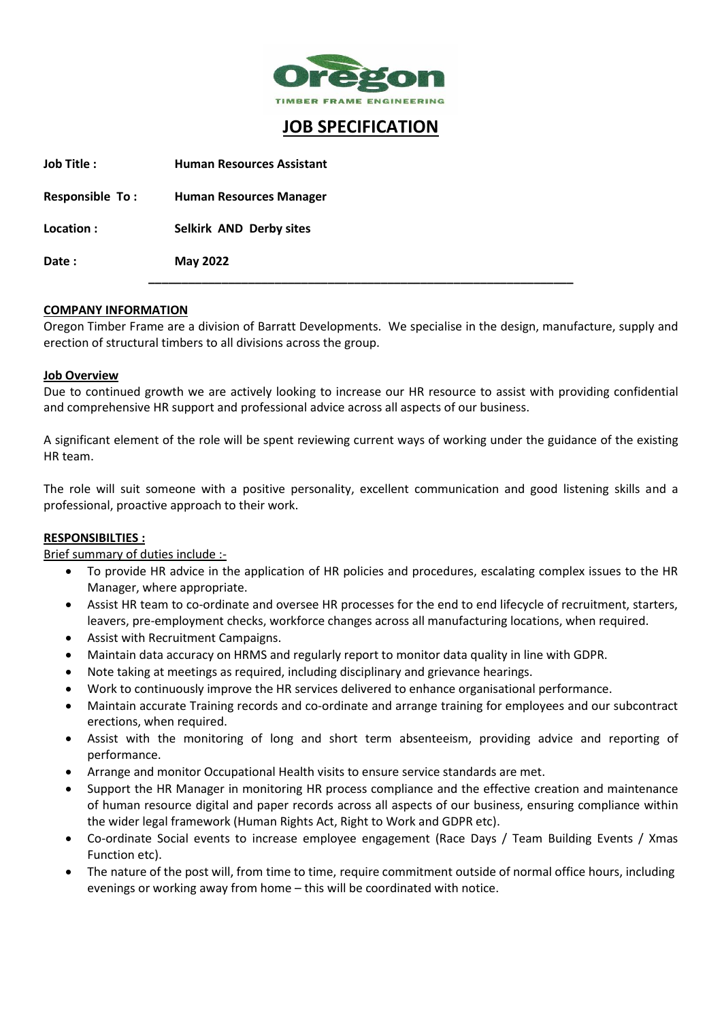

# **JOB SPECIFICATION**

| <b>Job Title:</b>      | <b>Human Resources Assistant</b> |
|------------------------|----------------------------------|
| <b>Responsible To:</b> | <b>Human Resources Manager</b>   |
| Location :             | Selkirk AND Derby sites          |
| Date:                  | <b>May 2022</b>                  |
|                        |                                  |

#### **COMPANY INFORMATION**

Oregon Timber Frame are a division of Barratt Developments. We specialise in the design, manufacture, supply and erection of structural timbers to all divisions across the group.

#### **Job Overview**

Due to continued growth we are actively looking to increase our HR resource to assist with providing confidential and comprehensive HR support and professional advice across all aspects of our business.

A significant element of the role will be spent reviewing current ways of working under the guidance of the existing HR team.

The role will suit someone with a positive personality, excellent communication and good listening skills and a professional, proactive approach to their work.

#### **RESPONSIBILTIES :**

### Brief summary of duties include :-

- To provide HR advice in the application of HR policies and procedures, escalating complex issues to the HR Manager, where appropriate.
- Assist HR team to co-ordinate and oversee HR processes for the end to end lifecycle of recruitment, starters, leavers, pre-employment checks, workforce changes across all manufacturing locations, when required.
- Assist with Recruitment Campaigns.
- Maintain data accuracy on HRMS and regularly report to monitor data quality in line with GDPR.
- Note taking at meetings as required, including disciplinary and grievance hearings.
- Work to continuously improve the HR services delivered to enhance organisational performance.
- Maintain accurate Training records and co-ordinate and arrange training for employees and our subcontract erections, when required.
- Assist with the monitoring of long and short term absenteeism, providing advice and reporting of performance.
- Arrange and monitor Occupational Health visits to ensure service standards are met.
- Support the HR Manager in monitoring HR process compliance and the effective creation and maintenance of human resource digital and paper records across all aspects of our business, ensuring compliance within the wider legal framework (Human Rights Act, Right to Work and GDPR etc).
- Co-ordinate Social events to increase employee engagement (Race Days / Team Building Events / Xmas Function etc).
- The nature of the post will, from time to time, require commitment outside of normal office hours, including evenings or working away from home – this will be coordinated with notice.